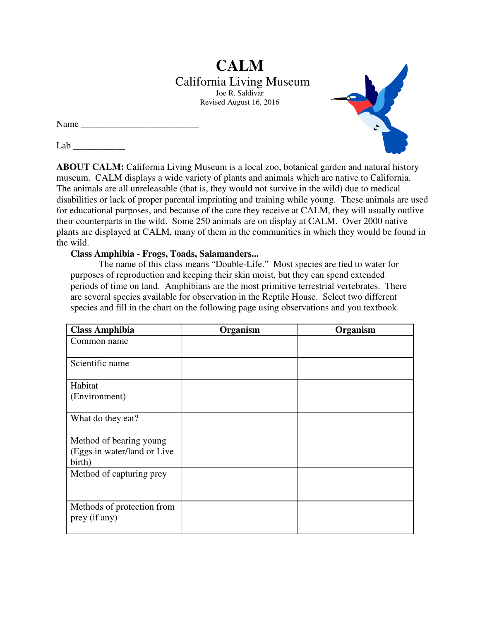# **CALM**  California Living Museum Joe R. Saldivar Revised August 16, 2016

Name

 $Lab$ 

**ABOUT CALM:** California Living Museum is a local zoo, botanical garden and natural history museum. CALM displays a wide variety of plants and animals which are native to California. The animals are all unreleasable (that is, they would not survive in the wild) due to medical disabilities or lack of proper parental imprinting and training while young. These animals are used for educational purposes, and because of the care they receive at CALM, they will usually outlive their counterparts in the wild. Some 250 animals are on display at CALM. Over 2000 native plants are displayed at CALM, many of them in the communities in which they would be found in the wild.

**Class Amphibia - Frogs, Toads, Salamanders...**

 The name of this class means "Double-Life." Most species are tied to water for purposes of reproduction and keeping their skin moist, but they can spend extended periods of time on land. Amphibians are the most primitive terrestrial vertebrates. There are several species available for observation in the Reptile House. Select two different species and fill in the chart on the following page using observations and you textbook.

| <b>Class Amphibia</b>        | Organism | Organism |
|------------------------------|----------|----------|
| Common name                  |          |          |
|                              |          |          |
| Scientific name              |          |          |
| Habitat                      |          |          |
| (Environment)                |          |          |
|                              |          |          |
| What do they eat?            |          |          |
|                              |          |          |
| Method of bearing young      |          |          |
| (Eggs in water/land or Live) |          |          |
| birth)                       |          |          |
| Method of capturing prey     |          |          |
|                              |          |          |
|                              |          |          |
| Methods of protection from   |          |          |
| prey (if any)                |          |          |
|                              |          |          |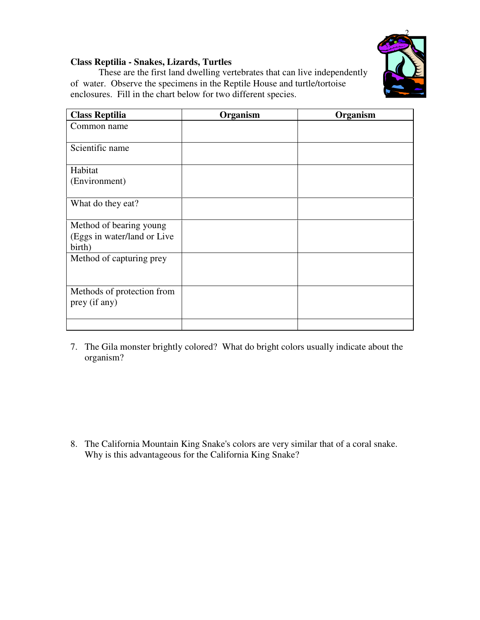

## **Class Reptilia - Snakes, Lizards, Turtles**

 These are the first land dwelling vertebrates that can live independently of water. Observe the specimens in the Reptile House and turtle/tortoise enclosures. Fill in the chart below for two different species.

| <b>Class Reptilia</b>                       | Organism | Organism |
|---------------------------------------------|----------|----------|
| Common name                                 |          |          |
| Scientific name                             |          |          |
| Habitat                                     |          |          |
| (Environment)                               |          |          |
| What do they eat?                           |          |          |
| Method of bearing young                     |          |          |
| (Eggs in water/land or Live<br>birth)       |          |          |
| Method of capturing prey                    |          |          |
|                                             |          |          |
| Methods of protection from<br>prey (if any) |          |          |
|                                             |          |          |

7. The Gila monster brightly colored? What do bright colors usually indicate about the organism?

8. The California Mountain King Snake's colors are very similar that of a coral snake. Why is this advantageous for the California King Snake?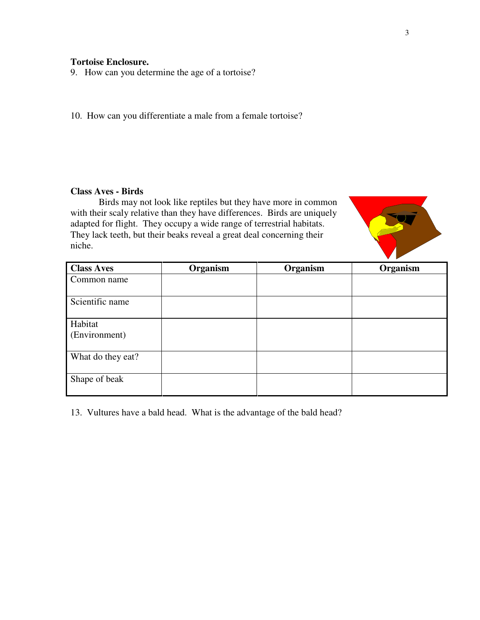### **Tortoise Enclosure.**

9. How can you determine the age of a tortoise?

10. How can you differentiate a male from a female tortoise?

#### **Class Aves - Birds**

Birds may not look like reptiles but they have more in common with their scaly relative than they have differences. Birds are uniquely adapted for flight. They occupy a wide range of terrestrial habitats. They lack teeth, but their beaks reveal a great deal concerning their niche.



| <b>Class Aves</b>        | Organism | Organism | Organism |
|--------------------------|----------|----------|----------|
| Common name              |          |          |          |
| Scientific name          |          |          |          |
| Habitat<br>(Environment) |          |          |          |
| What do they eat?        |          |          |          |
| Shape of beak            |          |          |          |

13. Vultures have a bald head. What is the advantage of the bald head?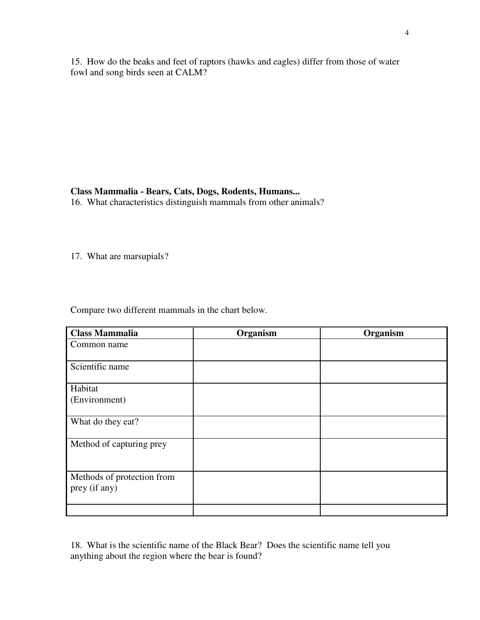15. How do the beaks and feet of raptors (hawks and eagles) differ from those of water fowl and song birds seen at CALM?

### **Class Mammalia - Bears, Cats, Dogs, Rodents, Humans...**

16. What characteristics distinguish mammals from other animals?

17. What are marsupials?

Compare two different mammals in the chart below.

| <b>Class Mammalia</b>                       | Organism | Organism |
|---------------------------------------------|----------|----------|
| Common name                                 |          |          |
| Scientific name                             |          |          |
| Habitat                                     |          |          |
| (Environment)                               |          |          |
| What do they eat?                           |          |          |
| Method of capturing prey                    |          |          |
| Methods of protection from<br>prey (if any) |          |          |
|                                             |          |          |

18. What is the scientific name of the Black Bear? Does the scientific name tell you anything about the region where the bear is found?